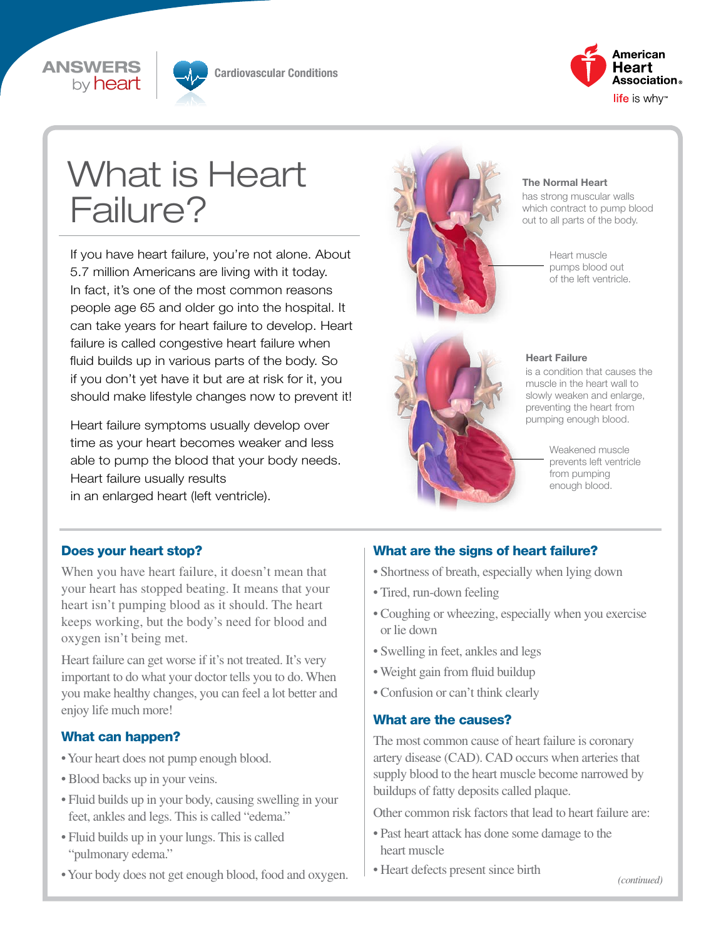



Cardiovascular Conditions



# What is Heart Failure?

If you have heart failure, you're not alone. About 5.7 million Americans are living with it today. In fact, it's one of the most common reasons people age 65 and older go into the hospital. It can take years for heart failure to develop. Heart failure is called congestive heart failure when fluid builds up in various parts of the body. So if you don't yet have it but are at risk for it, you should make lifestyle changes now to prevent it!

Heart failure symptoms usually develop over time as your heart becomes weaker and less able to pump the blood that your body needs. Heart failure usually results in an enlarged heart (left ventricle).



#### The Normal Heart

has strong muscular walls which contract to pump blood out to all parts of the body.

> Heart muscle pumps blood out of the left ventricle.



#### Heart Failure

is a condition that causes the muscle in the heart wall to slowly weaken and enlarge, preventing the heart from pumping enough blood.

> Weakened muscle prevents left ventricle from pumping enough blood.

## Does your heart stop?

When you have heart failure, it doesn't mean that your heart has stopped beating. It means that your heart isn't pumping blood as it should. The heart keeps working, but the body's need for blood and oxygen isn't being met.

Heart failure can get worse if it's not treated. It's very important to do what your doctor tells you to do. When you make healthy changes, you can feel a lot better and enjoy life much more!

## What can happen?

- Your heart does not pump enough blood.
- Blood backs up in your veins.
- Fluid builds up in your body, causing swelling in your feet, ankles and legs. This is called "edema."
- Fluid builds up in your lungs. This is called "pulmonary edema."
- Your body does not get enough blood, food and oxygen.

## What are the signs of heart failure?

- Shortness of breath, especially when lying down
- Tired, run-down feeling
- Coughing or wheezing, especially when you exercise or lie down
- Swelling in feet, ankles and legs
- Weight gain from fluid buildup
- Confusion or can't think clearly

## What are the causes?

The most common cause of heart failure is coronary artery disease (CAD). CAD occurs when arteries that supply blood to the heart muscle become narrowed by buildups of fatty deposits called plaque.

Other common risk factors that lead to heart failure are:

- Past heart attack has done some damage to the heart muscle
- Heart defects present since birth

*(continued)*